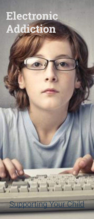# **Electronic Addiction**

## **Supporting Your Child**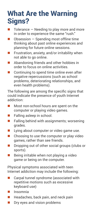### What Are the Warning Signs?

- $\blacksquare$  Tolerance  $\blacksquare$  Needing to play more and more in order to experience the same "rush."
- $\Box$  Obsession Spending most offline time thinking about past online experiences and planning for future online sessions.
- $\blacksquare$  Frustration, anxiety, and/or irritability when not able to go online.
- **Abandoning friends and other hobbies in** order to focus on online activities.
- Continuing to spend time online even after negative repercussions (such as school problems, deteriorating relationships, and even health problems).

The following are among the specific signs that could indicate the presence of youth Internet addiction:

- **Most non-school hours are spent on the** computer or playing video games.
- $\blacksquare$  Falling asleep in school.
- $\blacksquare$  Falling behind with assignments; worsening grades.
- **Lying about computer or video game use.**
- $\blacksquare$  Choosing to use the computer or play video games, rather than see friends.
- **Dropping out of other social groups (clubs or** sports).
- $\blacksquare$  Being irritable when not playing a video game or being on the computer.

Physical symptoms associated with teen Internet addiction may include the following:

- Carpal tunnel syndrome (associated with repetitive motions such as excessive keyboard use)
- **■** Insomnia
- $\blacksquare$  Headaches, back pain, and neck pain
- **Dry eyes and vision problems**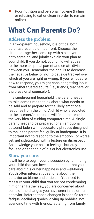Poor nutrition and personal hygiene (failing or refusing to eat or clean in order to remain online)

## What Can Parents Do?

#### **Address the problem:**

In a two-parent household, it is critical both parents present a united front. Discuss the situation together, come up with a plan you both agree on, and jointly explain your plan to your child. If you do not, your child will appeal to the more skeptical parent and create division between you. Remember, the goal is to decrease the negative behavior, not to get side tracked over which of you are right or wrong. If you're not sure how to respond, you might consider getting input from other trusted adults (i.e., friends, teachers, or a professional counselor).

In a single-parent household, the parent needs to take some time to think about what needs to be said and to prepare for the likely emotional response from the child. A child who is addicted to the Internet/electronics will feel threatened at the very idea of curbing computer time. A single parent needs to be prepared for an emotional outburst laden with accusatory phrases designed to make the parent feel guilty or inadequate. It is important not to respond to the emotion—or worse yet, get sidetracked with a lecture on disrespect. Acknowledge your child's feelings, but stay focused on the topic of his or her electronics use.

#### **Show you care:**

It will help to begin your discussion by reminding your child that you love him or her and that you care about his or her happiness and well-being. Youth often interpret questions about their behavior as blame and criticism. You need to reassure your child that you are not condemning him or her. Rather say, you are concerned about some of the changes you have seen in his or her behavior. Refer to those changes in specific terms: fatigue, declining grades, giving up hobbies, not spending time with friends, isolating from family,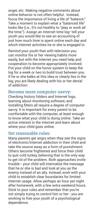anger, etc. Making negative comments about online behavior is not often helpful. Instead, focus the importance of living a life of "balance." Take a moment to explain what a "balanced life" looks like (i.e., It's not healthy to "play or work all the time."). Assign an Internet time log–tell your youth you would like to see an accounting of just how much time is spent online each day and which Internet activities he or she is engaged in.

Remind your youth that with television you can monitor his or her viewing habits more easily, but with the Internet you need help and cooperation to become appropriately involved. Put your child on the honor system to keep the log for a week or two to build trust between you. If he or she balks at this idea or clearly lies in the log, you are likely dealing with his or her denial of addiction.

#### **Become more computer-savvy:**

Checking history folders and Internet logs, learning about monitoring software, and installing filters all require a degree of computer savvy. It is important for every parent to be comfortable with the computer, at least enough to know what your child is doing online. Take an active interest in the Internet and learn about where your child goes online.

#### **Set reasonable rules:**

Many parents get angry when they see the signs of electronic/Internet addiction in their child and take the source away as a form of punishment. Others become frightened and force their child to quit cold turkey, believing that is the only way to get rid of the problem. Both approaches invite trouble– your child will internalize the message that he or she is bad and look at you as the enemy instead of an ally. Instead, work with your child to establish clear boundaries for limited Internet usage. Allow perhaps an hour per night after homework, with a few extra weekend hours. Stick to your rules and remember that you're not simply trying to control him or her - you are working to free your youth of a psychological dependence.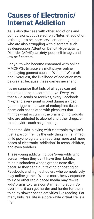## Causes of Electronic/ Internet Addiction

As is also the case with other addictions and compulsions, youth electronic/Internet addiction is thought to be more prevalent among teens who are also struggling with disorders such as depression, Attention Deficit Hyperactivity Disorder (ADHD), anxiety, poor self-image, and low self-esteem.

For youth who become enamored with online MMORPGs (massively multiplayer online roleplaying games) such as World of Warcraft and Everquest, the likelihood of addiction may be greater, because these games never end.

It's no surprise that kids of all ages can get addicted to their electronic toys. Every text that a kid sends or receives, every Facebook "like," and every point scored during a video game triggers a release of endorphins (brain chemicals associated with pleasure) that mimics what occurs in the brains of individuals who are addicted to alcohol and other drugs, or to behaviors such as gambling.

For some kids, playing with electronic toys isn't just a part of life. It's the only thing in life. In fact, child psychologists are reporting more and more cases of electronic "addiction" in teens, children, and even toddlers.

These young addicts include 3-year-olds who scream when they can't have their tablets, middle-schoolers whose grades nose-dive, because they can't quit texting or posting on Facebook, and high-schoolers who compulsively play online games. What's more, heavy exposure to TV or other rapid-paced media may rewire kids' brains to crave constant stimulation. So over time, it can get harder and harder for them to enjoy slower-paced activities like reading. For many kids, real life is a bore while virtual life is a high.